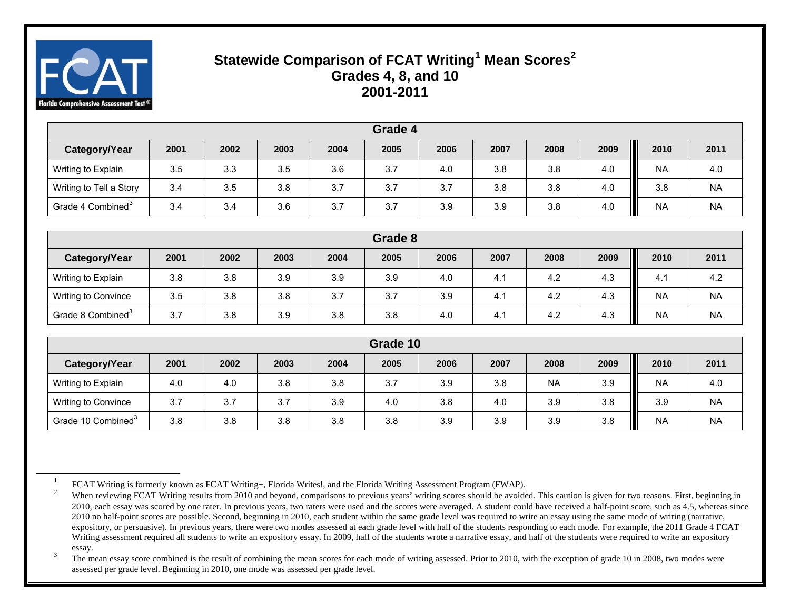

# <span id="page-0-2"></span><span id="page-0-1"></span><span id="page-0-0"></span>**Statewide Comparison of FCAT Writing[1](#page-0-0) Mean Scores[2](#page-0-1) Grades 4, 8, and 10 2001-2011**

| Grade 4                       |      |      |      |      |      |      |      |      |      |                |           |
|-------------------------------|------|------|------|------|------|------|------|------|------|----------------|-----------|
| Category/Year                 | 2001 | 2002 | 2003 | 2004 | 2005 | 2006 | 2007 | 2008 | 2009 | Ш<br>2010      | 2011      |
| Writing to Explain            | 3.5  | 3.3  | 3.5  | 3.6  | 3.7  | 4.0  | 3.8  | 3.8  | 4.0  | Ш<br><b>NA</b> | 4.0       |
| Writing to Tell a Story       | 3.4  | 3.5  | 3.8  | 3.7  | 3.7  | 3.7  | 3.8  | 3.8  | 4.0  | Ш<br>3.8       | <b>NA</b> |
| Grade 4 Combined <sup>3</sup> | 3.4  | 3.4  | 3.6  | 3.7  | 3.7  | 3.9  | 3.9  | 3.8  | 4.0  | Ш<br><b>NA</b> | <b>NA</b> |

| Grade 8                       |      |      |      |      |      |      |      |      |          |                |           |
|-------------------------------|------|------|------|------|------|------|------|------|----------|----------------|-----------|
| Category/Year                 | 2001 | 2002 | 2003 | 2004 | 2005 | 2006 | 2007 | 2008 | 2009     | Ш<br>2010      | 2011      |
| Writing to Explain            | 3.8  | 3.8  | 3.9  | 3.9  | 3.9  | 4.0  | 4.1  | 4.2  | 4.3      | 4.1            | 4.2       |
| Writing to Convince           | 3.5  | 3.8  | 3.8  | 3.7  | 3.7  | 3.9  | 4.1  | 4.2  | 4.3      | П<br><b>NA</b> | <b>NA</b> |
| Grade 8 Combined <sup>3</sup> | 3.7  | 3.8  | 3.9  | 3.8  | 3.8  | 4.0  | 4.1  | 4.2  | Ш<br>4.3 | <b>NA</b>      | <b>NA</b> |

| Grade 10                       |      |      |      |      |      |      |      |           |      |           |           |
|--------------------------------|------|------|------|------|------|------|------|-----------|------|-----------|-----------|
| Category/Year                  | 2001 | 2002 | 2003 | 2004 | 2005 | 2006 | 2007 | 2008      | 2009 | 2010      | 2011      |
| Writing to Explain             | 4.0  | 4.0  | 3.8  | 3.8  | 3.7  | 3.9  | 3.8  | <b>NA</b> | 3.9  | <b>NA</b> | 4.0       |
| Writing to Convince            | 3.7  | 3.7  | 3.7  | 3.9  | 4.0  | 3.8  | 4.0  | 3.9       | 3.8  | 3.9       | <b>NA</b> |
| Grade 10 Combined <sup>3</sup> | 3.8  | 3.8  | 3.8  | 3.8  | 3.8  | 3.9  | 3.9  | 3.9       | 3.8  | <b>NA</b> | <b>NA</b> |

 The mean essay score combined is the result of combining the mean scores for each mode of writing assessed. Prior to 2010, with the exception of grade 10 in 2008, two modes were assessed per grade level. Beginning in 2010, one mode was assessed per grade level.

 <sup>1</sup> FCAT Writing is formerly known as FCAT Writing+, Florida Writes!, and the Florida Writing Assessment Program (FWAP).

When reviewing FCAT Writing results from 2010 and beyond, comparisons to previous years' writing scores should be avoided. This caution is given for two reasons. First, beginning in 2010, each essay was scored by one rater. In previous years, two raters were used and the scores were averaged. A student could have received a half-point score, such as 4.5, whereas since 2010 no half-point scores are possible. Second, beginning in 2010, each student within the same grade level was required to write an essay using the same mode of writing (narrative, expository, or persuasive). In previous years, there were two modes assessed at each grade level with half of the students responding to each mode. For example, the 2011 Grade 4 FCAT Writing assessment required all students to write an expository essay. In 2009, half of the students wrote a narrative essay, and half of the students were required to write an expository essay.